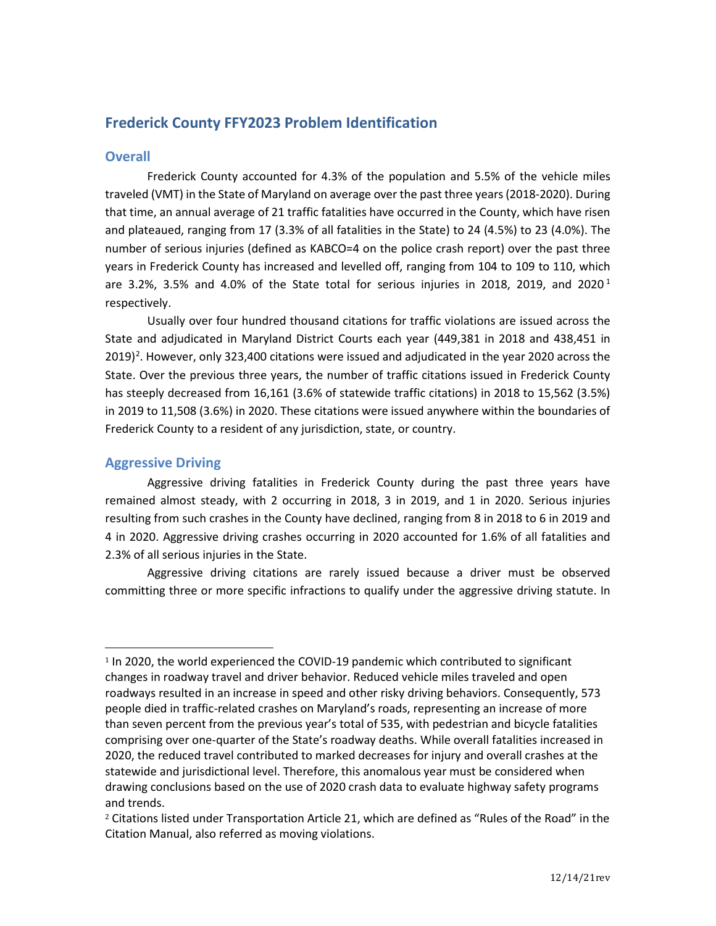# **Frederick County FFY2023 Problem Identification**

# **Overall**

Frederick County accounted for 4.3% of the population and 5.5% of the vehicle miles traveled (VMT) in the State of Maryland on average over the past three years (2018-2020). During that time, an annual average of 21 traffic fatalities have occurred in the County, which have risen and plateaued, ranging from 17 (3.3% of all fatalities in the State) to 24 (4.5%) to 23 (4.0%). The number of serious injuries (defined as KABCO=4 on the police crash report) over the past three years in Frederick County has increased and levelled off, ranging from 104 to 109 to 110, which are 3.2%, 3.5% and 4.0% of the State total for serious injuries in 20[1](#page-0-0)8, 2019, and 2020<sup>1</sup> respectively.

Usually over four hundred thousand citations for traffic violations are issued across the State and adjudicated in Maryland District Courts each year (449,381 in 2018 and 438,451 in  $2019)$  $2019)$ <sup>2</sup>. However, only 323,400 citations were issued and adjudicated in the year 2020 across the State. Over the previous three years, the number of traffic citations issued in Frederick County has steeply decreased from 16,161 (3.6% of statewide traffic citations) in 2018 to 15,562 (3.5%) in 2019 to 11,508 (3.6%) in 2020. These citations were issued anywhere within the boundaries of Frederick County to a resident of any jurisdiction, state, or country.

# **Aggressive Driving**

Aggressive driving fatalities in Frederick County during the past three years have remained almost steady, with 2 occurring in 2018, 3 in 2019, and 1 in 2020. Serious injuries resulting from such crashes in the County have declined, ranging from 8 in 2018 to 6 in 2019 and 4 in 2020. Aggressive driving crashes occurring in 2020 accounted for 1.6% of all fatalities and 2.3% of all serious injuries in the State.

Aggressive driving citations are rarely issued because a driver must be observed committing three or more specific infractions to qualify under the aggressive driving statute. In

<span id="page-0-0"></span><sup>&</sup>lt;sup>1</sup> In 2020, the world experienced the COVID-19 pandemic which contributed to significant changes in roadway travel and driver behavior. Reduced vehicle miles traveled and open roadways resulted in an increase in speed and other risky driving behaviors. Consequently, 573 people died in traffic-related crashes on Maryland's roads, representing an increase of more than seven percent from the previous year's total of 535, with pedestrian and bicycle fatalities comprising over one-quarter of the State's roadway deaths. While overall fatalities increased in 2020, the reduced travel contributed to marked decreases for injury and overall crashes at the statewide and jurisdictional level. Therefore, this anomalous year must be considered when drawing conclusions based on the use of 2020 crash data to evaluate highway safety programs and trends.

<span id="page-0-1"></span><sup>2</sup> Citations listed under Transportation Article 21, which are defined as "Rules of the Road" in the Citation Manual, also referred as moving violations.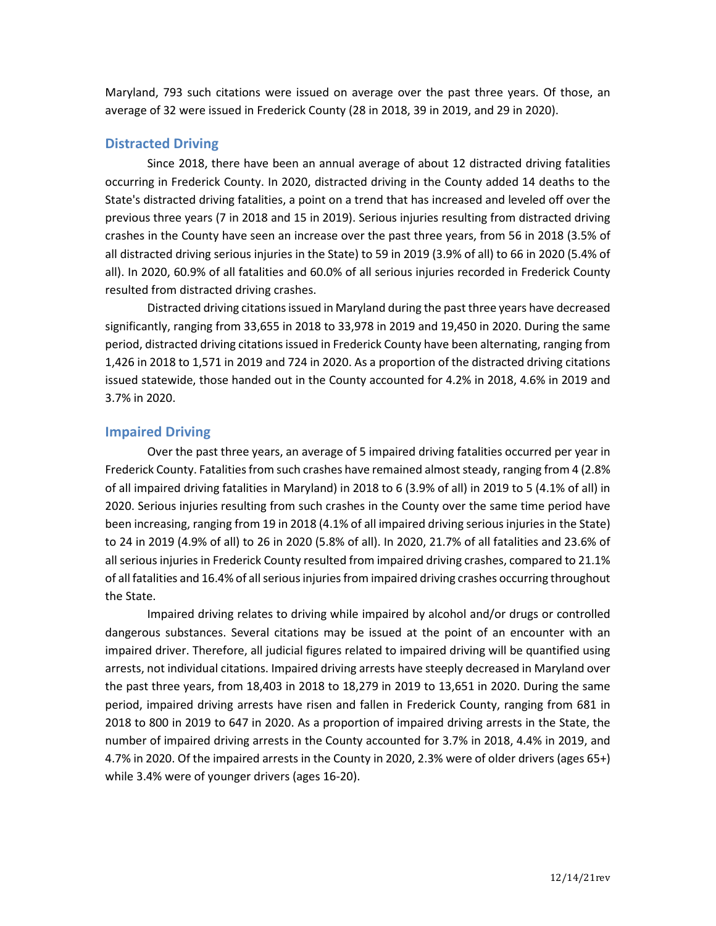Maryland, 793 such citations were issued on average over the past three years. Of those, an average of 32 were issued in Frederick County (28 in 2018, 39 in 2019, and 29 in 2020).

## **Distracted Driving**

Since 2018, there have been an annual average of about 12 distracted driving fatalities occurring in Frederick County. In 2020, distracted driving in the County added 14 deaths to the State's distracted driving fatalities, a point on a trend that has increased and leveled off over the previous three years (7 in 2018 and 15 in 2019). Serious injuries resulting from distracted driving crashes in the County have seen an increase over the past three years, from 56 in 2018 (3.5% of all distracted driving serious injuries in the State) to 59 in 2019 (3.9% of all) to 66 in 2020 (5.4% of all). In 2020, 60.9% of all fatalities and 60.0% of all serious injuries recorded in Frederick County resulted from distracted driving crashes.

Distracted driving citations issued in Maryland during the past three years have decreased significantly, ranging from 33,655 in 2018 to 33,978 in 2019 and 19,450 in 2020. During the same period, distracted driving citations issued in Frederick County have been alternating, ranging from 1,426 in 2018 to 1,571 in 2019 and 724 in 2020. As a proportion of the distracted driving citations issued statewide, those handed out in the County accounted for 4.2% in 2018, 4.6% in 2019 and 3.7% in 2020.

### **Impaired Driving**

Over the past three years, an average of 5 impaired driving fatalities occurred per year in Frederick County. Fatalities from such crashes have remained almost steady, ranging from 4 (2.8% of all impaired driving fatalities in Maryland) in 2018 to 6 (3.9% of all) in 2019 to 5 (4.1% of all) in 2020. Serious injuries resulting from such crashes in the County over the same time period have been increasing, ranging from 19 in 2018 (4.1% of all impaired driving serious injuries in the State) to 24 in 2019 (4.9% of all) to 26 in 2020 (5.8% of all). In 2020, 21.7% of all fatalities and 23.6% of all serious injuries in Frederick County resulted from impaired driving crashes, compared to 21.1% of all fatalities and 16.4% of all serious injuries from impaired driving crashes occurring throughout the State.

Impaired driving relates to driving while impaired by alcohol and/or drugs or controlled dangerous substances. Several citations may be issued at the point of an encounter with an impaired driver. Therefore, all judicial figures related to impaired driving will be quantified using arrests, not individual citations. Impaired driving arrests have steeply decreased in Maryland over the past three years, from 18,403 in 2018 to 18,279 in 2019 to 13,651 in 2020. During the same period, impaired driving arrests have risen and fallen in Frederick County, ranging from 681 in 2018 to 800 in 2019 to 647 in 2020. As a proportion of impaired driving arrests in the State, the number of impaired driving arrests in the County accounted for 3.7% in 2018, 4.4% in 2019, and 4.7% in 2020. Of the impaired arrests in the County in 2020, 2.3% were of older drivers (ages 65+) while 3.4% were of younger drivers (ages 16-20).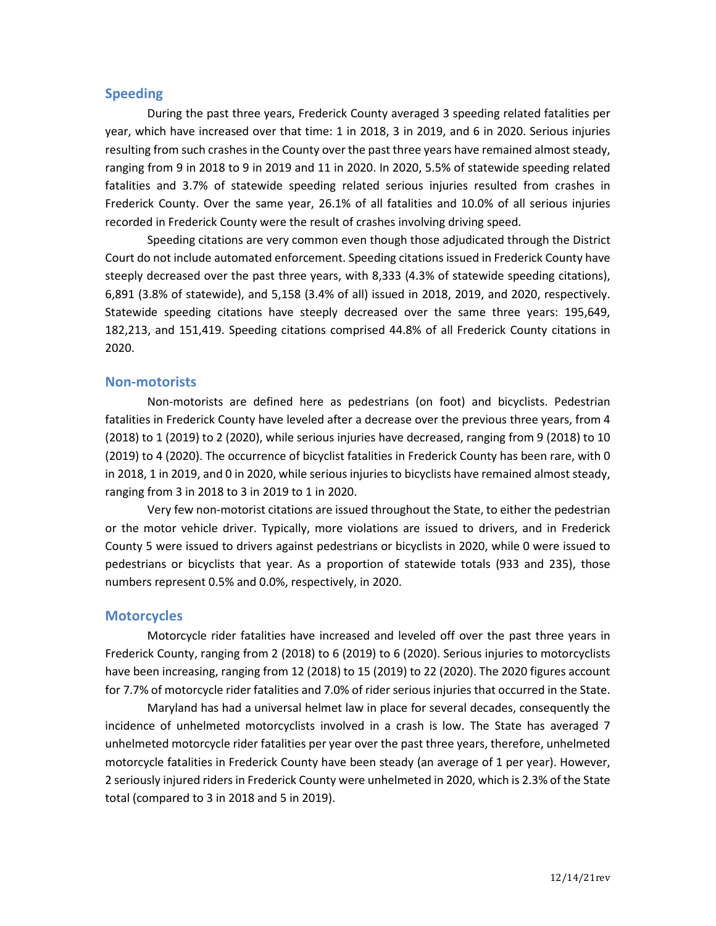### **Speeding**

During the past three years, Frederick County averaged 3 speeding related fatalities per year, which have increased over that time: 1 in 2018, 3 in 2019, and 6 in 2020. Serious injuries resulting from such crashes in the County over the past three years have remained almost steady, ranging from 9 in 2018 to 9 in 2019 and 11 in 2020. In 2020, 5.5% of statewide speeding related fatalities and 3.7% of statewide speeding related serious injuries resulted from crashes in Frederick County. Over the same year, 26.1% of all fatalities and 10.0% of all serious injuries recorded in Frederick County were the result of crashes involving driving speed.

Speeding citations are very common even though those adjudicated through the District Court do not include automated enforcement. Speeding citations issued in Frederick County have steeply decreased over the past three years, with 8,333 (4.3% of statewide speeding citations), 6,891 (3.8% of statewide), and 5,158 (3.4% of all) issued in 2018, 2019, and 2020, respectively. Statewide speeding citations have steeply decreased over the same three years: 195,649, 182,213, and 151,419. Speeding citations comprised 44.8% of all Frederick County citations in 2020.

#### **Non-motorists**

Non-motorists are defined here as pedestrians (on foot) and bicyclists. Pedestrian fatalities in Frederick County have leveled after a decrease over the previous three years, from 4 (2018) to 1 (2019) to 2 (2020), while serious injuries have decreased, ranging from 9 (2018) to 10 (2019) to 4 (2020). The occurrence of bicyclist fatalities in Frederick County has been rare, with 0 in 2018, 1 in 2019, and 0 in 2020, while serious injuries to bicyclists have remained almost steady, ranging from 3 in 2018 to 3 in 2019 to 1 in 2020.

Very few non-motorist citations are issued throughout the State, to either the pedestrian or the motor vehicle driver. Typically, more violations are issued to drivers, and in Frederick County 5 were issued to drivers against pedestrians or bicyclists in 2020, while 0 were issued to pedestrians or bicyclists that year. As a proportion of statewide totals (933 and 235), those numbers represent 0.5% and 0.0%, respectively, in 2020.

### **Motorcycles**

Motorcycle rider fatalities have increased and leveled off over the past three years in Frederick County, ranging from 2 (2018) to 6 (2019) to 6 (2020). Serious injuries to motorcyclists have been increasing, ranging from 12 (2018) to 15 (2019) to 22 (2020). The 2020 figures account for 7.7% of motorcycle rider fatalities and 7.0% of rider serious injuries that occurred in the State.

Maryland has had a universal helmet law in place for several decades, consequently the incidence of unhelmeted motorcyclists involved in a crash is low. The State has averaged 7 unhelmeted motorcycle rider fatalities per year over the past three years, therefore, unhelmeted motorcycle fatalities in Frederick County have been steady (an average of 1 per year). However, 2 seriously injured riders in Frederick County were unhelmeted in 2020, which is 2.3% of the State total (compared to 3 in 2018 and 5 in 2019).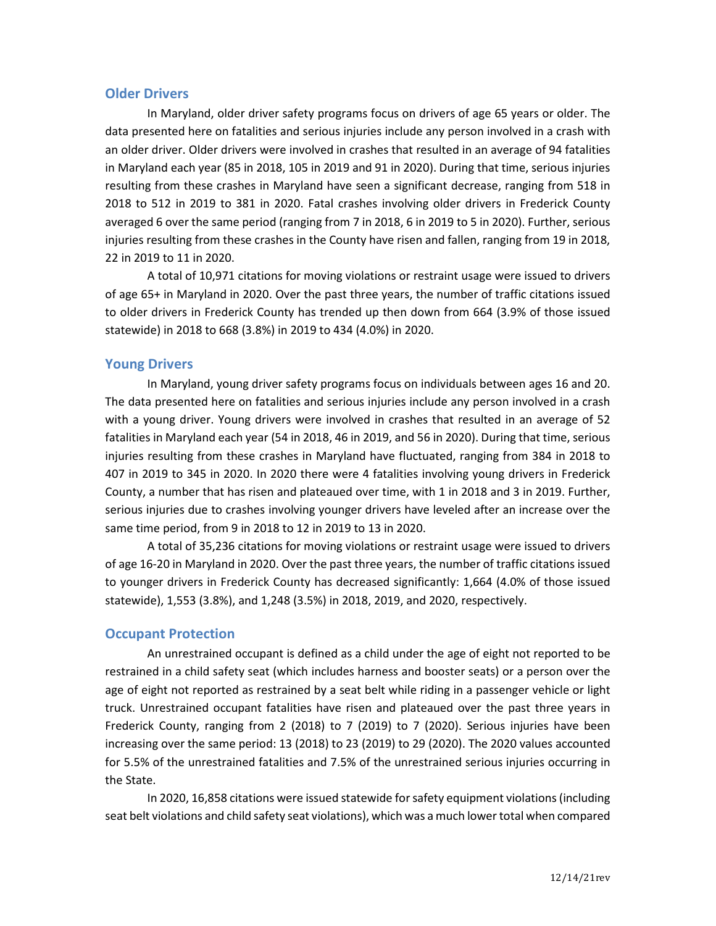### **Older Drivers**

In Maryland, older driver safety programs focus on drivers of age 65 years or older. The data presented here on fatalities and serious injuries include any person involved in a crash with an older driver. Older drivers were involved in crashes that resulted in an average of 94 fatalities in Maryland each year (85 in 2018, 105 in 2019 and 91 in 2020). During that time, serious injuries resulting from these crashes in Maryland have seen a significant decrease, ranging from 518 in 2018 to 512 in 2019 to 381 in 2020. Fatal crashes involving older drivers in Frederick County averaged 6 over the same period (ranging from 7 in 2018, 6 in 2019 to 5 in 2020). Further, serious injuries resulting from these crashes in the County have risen and fallen, ranging from 19 in 2018, 22 in 2019 to 11 in 2020.

A total of 10,971 citations for moving violations or restraint usage were issued to drivers of age 65+ in Maryland in 2020. Over the past three years, the number of traffic citations issued to older drivers in Frederick County has trended up then down from 664 (3.9% of those issued statewide) in 2018 to 668 (3.8%) in 2019 to 434 (4.0%) in 2020.

### **Young Drivers**

In Maryland, young driver safety programs focus on individuals between ages 16 and 20. The data presented here on fatalities and serious injuries include any person involved in a crash with a young driver. Young drivers were involved in crashes that resulted in an average of 52 fatalities in Maryland each year (54 in 2018, 46 in 2019, and 56 in 2020). During that time, serious injuries resulting from these crashes in Maryland have fluctuated, ranging from 384 in 2018 to 407 in 2019 to 345 in 2020. In 2020 there were 4 fatalities involving young drivers in Frederick County, a number that has risen and plateaued over time, with 1 in 2018 and 3 in 2019. Further, serious injuries due to crashes involving younger drivers have leveled after an increase over the same time period, from 9 in 2018 to 12 in 2019 to 13 in 2020.

A total of 35,236 citations for moving violations or restraint usage were issued to drivers of age 16-20 in Maryland in 2020. Over the past three years, the number of traffic citations issued to younger drivers in Frederick County has decreased significantly: 1,664 (4.0% of those issued statewide), 1,553 (3.8%), and 1,248 (3.5%) in 2018, 2019, and 2020, respectively.

### **Occupant Protection**

An unrestrained occupant is defined as a child under the age of eight not reported to be restrained in a child safety seat (which includes harness and booster seats) or a person over the age of eight not reported as restrained by a seat belt while riding in a passenger vehicle or light truck. Unrestrained occupant fatalities have risen and plateaued over the past three years in Frederick County, ranging from 2 (2018) to 7 (2019) to 7 (2020). Serious injuries have been increasing over the same period: 13 (2018) to 23 (2019) to 29 (2020). The 2020 values accounted for 5.5% of the unrestrained fatalities and 7.5% of the unrestrained serious injuries occurring in the State.

In 2020, 16,858 citations were issued statewide for safety equipment violations(including seat belt violations and child safety seat violations), which was a much lower total when compared